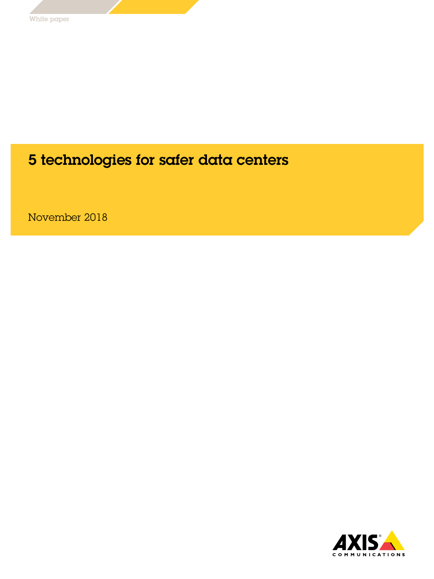# 5 technologies for safer data centers

November 2018

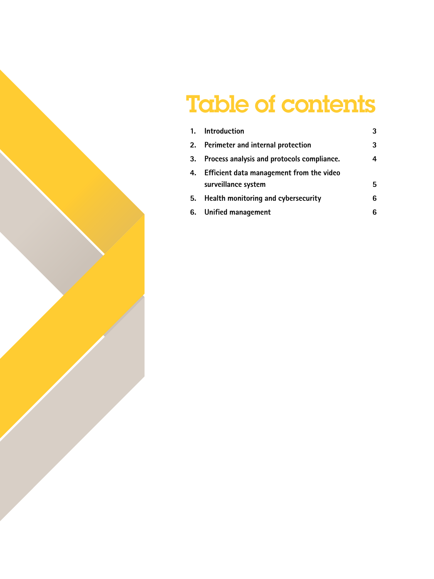# Table of contents

| 1. Introduction                                                    | 3 |
|--------------------------------------------------------------------|---|
| 2. Perimeter and internal protection                               | 3 |
| 3. Process analysis and protocols compliance.                      | 4 |
| 4. Efficient data management from the video<br>surveillance system | 5 |
| 5. Health monitoring and cybersecurity                             | 6 |
| 6. Unified management                                              | 6 |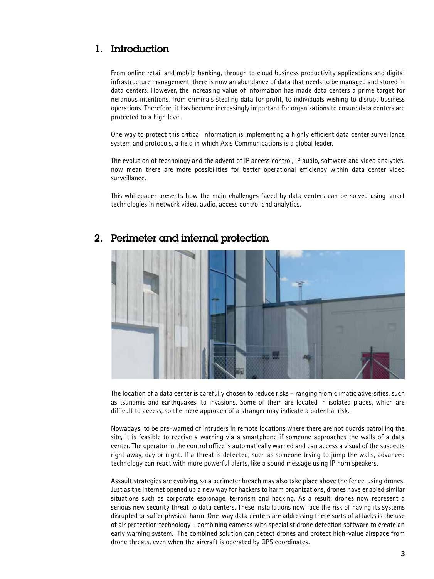## 1. Introduction

From online retail and mobile banking, through to cloud business productivity applications and digital infrastructure management, there is now an abundance of data that needs to be managed and stored in data centers. However, the increasing value of information has made data centers a prime target for nefarious intentions, from criminals stealing data for profit, to individuals wishing to disrupt business operations. Therefore, it has become increasingly important for organizations to ensure data centers are protected to a high level.

One way to protect this critical information is implementing a highly efficient data center surveillance system and protocols, a field in which Axis Communications is a global leader.

The evolution of technology and the advent of IP access control, IP audio, software and video analytics, now mean there are more possibilities for better operational efficiency within data center video surveillance.

This whitepaper presents how the main challenges faced by data centers can be solved using smart technologies in network video, audio, access control and analytics.



#### 2. Perimeter and internal protection

The location of a data center is carefully chosen to reduce risks – ranging from climatic adversities, such as tsunamis and earthquakes, to invasions. Some of them are located in isolated places, which are difficult to access, so the mere approach of a stranger may indicate a potential risk.

Nowadays, to be pre-warned of intruders in remote locations where there are not guards patrolling the site, it is feasible to receive a warning via a smartphone if someone approaches the walls of a data center. The operator in the control office is automatically warned and can access a visual of the suspects right away, day or night. If a threat is detected, such as someone trying to jump the walls, advanced technology can react with more powerful alerts, like a sound message using IP horn speakers.

Assault strategies are evolving, so a perimeter breach may also take place above the fence, using drones. Just as the internet opened up a new way for hackers to harm organizations, drones have enabled similar situations such as corporate espionage, terrorism and hacking. As a result, drones now represent a serious new security threat to data centers. These installations now face the risk of having its systems disrupted or suffer physical harm. One-way data centers are addressing these sorts of attacks is the use of air protection technology – combining cameras with specialist drone detection software to create an early warning system. The combined solution can detect drones and protect high-value airspace from drone threats, even when the aircraft is operated by GPS coordinates.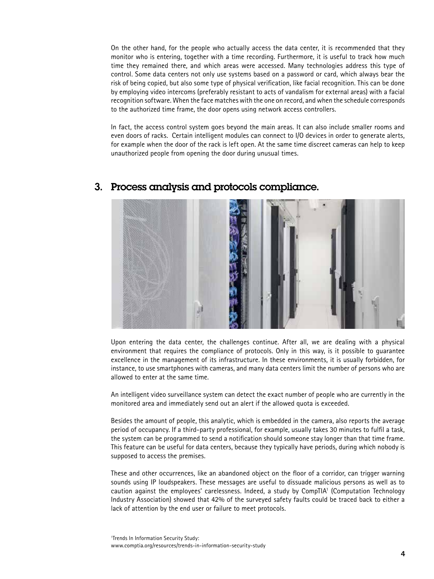On the other hand, for the people who actually access the data center, it is recommended that they monitor who is entering, together with a time recording. Furthermore, it is useful to track how much time they remained there, and which areas were accessed. Many technologies address this type of control. Some data centers not only use systems based on a password or card, which always bear the risk of being copied, but also some type of physical verification, like facial recognition. This can be done by employing video intercoms (preferably resistant to acts of vandalism for external areas) with a facial recognition software. When the face matches with the one on record, and when the schedule corresponds to the authorized time frame, the door opens using network access controllers.

In fact, the access control system goes beyond the main areas. It can also include smaller rooms and even doors of racks. Certain intelligent modules can connect to I/O devices in order to generate alerts, for example when the door of the rack is left open. At the same time discreet cameras can help to keep unauthorized people from opening the door during unusual times.



#### 3. Process analysis and protocols compliance.

Upon entering the data center, the challenges continue. After all, we are dealing with a physical environment that requires the compliance of protocols. Only in this way, is it possible to guarantee excellence in the management of its infrastructure. In these environments, it is usually forbidden, for instance, to use smartphones with cameras, and many data centers limit the number of persons who are allowed to enter at the same time.

An intelligent video surveillance system can detect the exact number of people who are currently in the monitored area and immediately send out an alert if the allowed quota is exceeded.

Besides the amount of people, this analytic, which is embedded in the camera, also reports the average period of occupancy. If a third-party professional, for example, usually takes 30 minutes to fulfil a task, the system can be programmed to send a notification should someone stay longer than that time frame. This feature can be useful for data centers, because they typically have periods, during which nobody is supposed to access the premises.

These and other occurrences, like an abandoned object on the floor of a corridor, can trigger warning sounds using IP loudspeakers. These messages are useful to dissuade malicious persons as well as to caution against the employees' carelessness. Indeed, a study by CompTIA<sup>1</sup> (Computation Technology Industry Association) showed that 42% of the surveyed safety faults could be traced back to either a lack of attention by the end user or failure to meet protocols.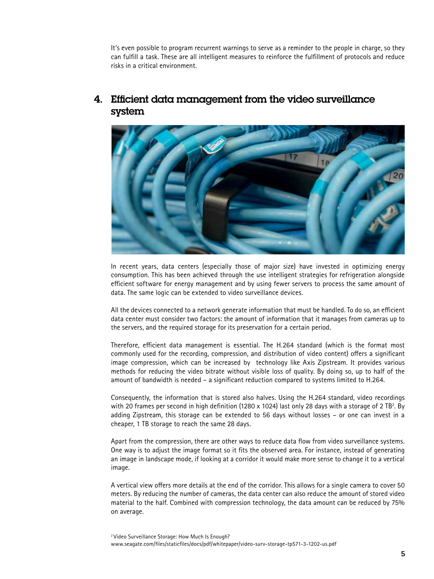It's even possible to program recurrent warnings to serve as a reminder to the people in charge, so they can fulfill a task. These are all intelligent measures to reinforce the fulfillment of protocols and reduce risks in a critical environment.



## 4. Efficient data management from the video surveillance system

In recent years, data centers (especially those of major size) have invested in optimizing energy consumption. This has been achieved through the use intelligent strategies for refrigeration alongside efficient software for energy management and by using fewer servers to process the same amount of data. The same logic can be extended to video surveillance devices.

All the devices connected to a network generate information that must be handled. To do so, an efficient data center must consider two factors: the amount of information that it manages from cameras up to the servers, and the required storage for its preservation for a certain period.

Therefore, efficient data management is essential. The H.264 standard (which is the format most commonly used for the recording, compression, and distribution of video content) offers a significant image compression, which can be increased by technology like Axis Zipstream. It provides various methods for reducing the video bitrate without visible loss of quality. By doing so, up to half of the amount of bandwidth is needed – a significant reduction compared to systems limited to H.264.

Consequently, the information that is stored also halves. Using the H.264 standard, video recordings with 20 frames per second in high definition (1280  $\times$  1024) last only 28 days with a storage of 2 TB<sup>2</sup>. By adding Zipstream, this storage can be extended to 56 days without losses – or one can invest in a cheaper, 1 TB storage to reach the same 28 days.

Apart from the compression, there are other ways to reduce data flow from video surveillance systems. One way is to adjust the image format so it fits the observed area. For instance, instead of generating an image in landscape mode, if looking at a corridor it would make more sense to change it to a vertical image.

A vertical view offers more details at the end of the corridor. This allows for a single camera to cover 50 meters. By reducing the number of cameras, the data center can also reduce the amount of stored video material to the half. Combined with compression technology, the data amount can be reduced by 75% on average.

<sup>&</sup>lt;sup>2</sup> Video Surveillance Storage: How Much Is Enough? www.seagate.com/files/staticfiles/docs/pdf/whitepaper/video-surv-storage-tp571-3-1202-us.pdf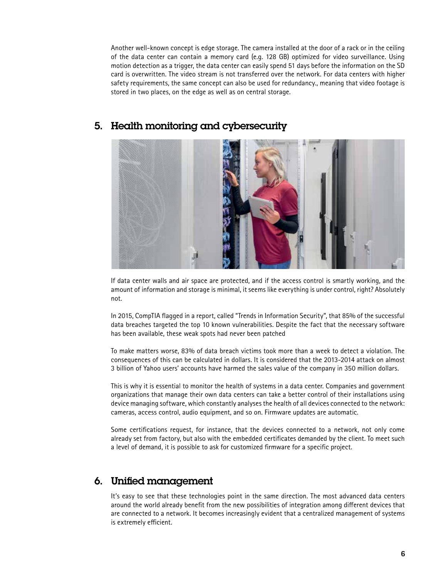Another well-known concept is edge storage. The camera installed at the door of a rack or in the ceiling of the data center can contain a memory card (e.g. 128 GB) optimized for video surveillance. Using motion detection as a trigger, the data center can easily spend 51 days before the information on the SD card is overwritten. The video stream is not transferred over the network. For data centers with higher safety requirements, the same concept can also be used for redundancy, meaning that video footage is stored in two places, on the edge as well as on central storage.



### 5. Health monitoring and cybersecurity

If data center walls and air space are protected, and if the access control is smartly working, and the amount of information and storage is minimal, it seems like everything is under control, right? Absolutely not.

In 2015, CompTIA flagged in a report, called "Trends in Information Security", that 85% of the successful data breaches targeted the top 10 known vulnerabilities. Despite the fact that the necessary software has been available, these weak spots had never been patched

To make matters worse, 83% of data breach victims took more than a week to detect a violation. The consequences of this can be calculated in dollars. It is considered that the 2013-2014 attack on almost 3 billion of Yahoo users' accounts have harmed the sales value of the company in 350 million dollars.

This is why it is essential to monitor the health of systems in a data center. Companies and government organizations that manage their own data centers can take a better control of their installations using device managing software, which constantly analyses the health of all devices connected to the network: cameras, access control, audio equipment, and so on. Firmware updates are automatic.

Some certifications request, for instance, that the devices connected to a network, not only come already set from factory, but also with the embedded certificates demanded by the client. To meet such a level of demand, it is possible to ask for customized firmware for a specific project.

# 6. Unified management

It's easy to see that these technologies point in the same direction. The most advanced data centers around the world already benefit from the new possibilities of integration among different devices that are connected to a network. It becomes increasingly evident that a centralized management of systems is extremely efficient.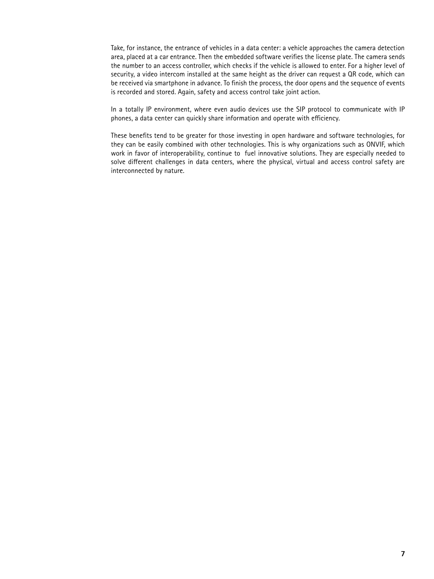Take, for instance, the entrance of vehicles in a data center: a vehicle approaches the camera detection area, placed at a car entrance. Then the embedded software verifies the license plate. The camera sends the number to an access controller, which checks if the vehicle is allowed to enter. For a higher level of security, a video intercom installed at the same height as the driver can request a QR code, which can be received via smartphone in advance. To finish the process, the door opens and the sequence of events is recorded and stored. Again, safety and access control take joint action.

In a totally IP environment, where even audio devices use the SIP protocol to communicate with IP phones, a data center can quickly share information and operate with efficiency.

These benefits tend to be greater for those investing in open hardware and software technologies, for they can be easily combined with other technologies. This is why organizations such as ONVIF, which work in favor of interoperability, continue to fuel innovative solutions. They are especially needed to solve different challenges in data centers, where the physical, virtual and access control safety are interconnected by nature.